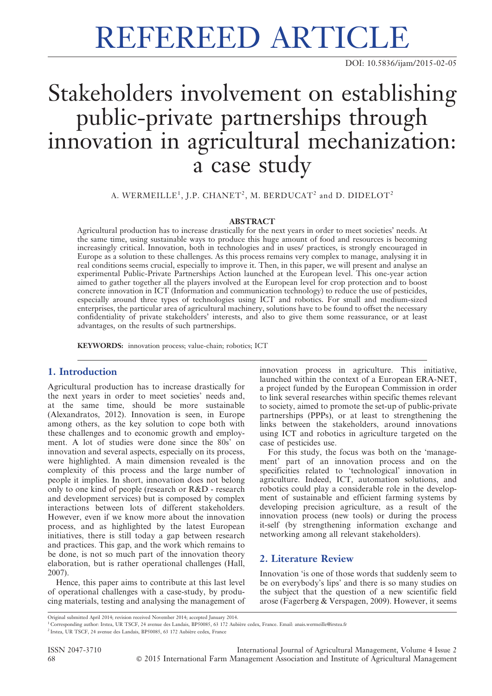# REFEREED ARTICLE

DOI: 10.5836/ijam/2015-02-05

## Stakeholders involvement on establishing public-private partnerships through innovation in agricultural mechanization: a case study

A. WERMEILLE $^1$ , J.P. CHANET $^2$ , M. BERDUCAT $^2$  and D. DIDELOT $^2$ 

#### ABSTRACT

Agricultural production has to increase drastically for the next years in order to meet societies' needs. At the same time, using sustainable ways to produce this huge amount of food and resources is becoming increasingly critical. Innovation, both in technologies and in uses/ practices, is strongly encouraged in Europe as a solution to these challenges. As this process remains very complex to manage, analysing it in real conditions seems crucial, especially to improve it. Then, in this paper, we will present and analyse an experimental Public-Private Partnerships Action launched at the European level. This one-year action aimed to gather together all the players involved at the European level for crop protection and to boost concrete innovation in ICT (Information and communication technology) to reduce the use of pesticides, especially around three types of technologies using ICT and robotics. For small and medium-sized enterprises, the particular area of agricultural machinery, solutions have to be found to offset the necessary confidentiality of private stakeholders' interests, and also to give them some reassurance, or at least advantages, on the results of such partnerships.

KEYWORDS: innovation process; value-chain; robotics; ICT

### 1. Introduction

Agricultural production has to increase drastically for the next years in order to meet societies' needs and, at the same time, should be more sustainable (Alexandratos, 2012). Innovation is seen, in Europe among others, as the key solution to cope both with these challenges and to economic growth and employment. A lot of studies were done since the 80s' on innovation and several aspects, especially on its process, were highlighted. A main dimension revealed is the complexity of this process and the large number of people it implies. In short, innovation does not belong only to one kind of people (research or R&D - research and development services) but is composed by complex interactions between lots of different stakeholders. However, even if we know more about the innovation process, and as highlighted by the latest European initiatives, there is still today a gap between research and practices. This gap, and the work which remains to be done, is not so much part of the innovation theory elaboration, but is rather operational challenges (Hall, 2007).

Hence, this paper aims to contribute at this last level of operational challenges with a case-study, by producing materials, testing and analysing the management of innovation process in agriculture. This initiative, launched within the context of a European ERA-NET, a project funded by the European Commission in order to link several researches within specific themes relevant to society, aimed to promote the set-up of public-private partnerships (PPPs), or at least to strengthening the links between the stakeholders, around innovations using ICT and robotics in agriculture targeted on the case of pesticides use.

For this study, the focus was both on the 'management' part of an innovation process and on the specificities related to 'technological' innovation in agriculture. Indeed, ICT, automation solutions, and robotics could play a considerable role in the development of sustainable and efficient farming systems by developing precision agriculture, as a result of the innovation process (new tools) or during the process it-self (by strengthening information exchange and networking among all relevant stakeholders).

### 2. Literature Review

Innovation 'is one of those words that suddenly seem to be on everybody's lips' and there is so many studies on the subject that the question of a new scientific field arose (Fagerberg & Verspagen, 2009). However, it seems

ISSN 2047-3710 International Journal of Agricultural Management, Volume 4 Issue 2 68 ' 2015 International Farm Management Association and Institute of Agricultural Management

Original submitted April 2014; revision received November 2014; accepted January 2014.

<sup>1</sup> Corresponding author: Irstea, UR TSCF, 24 avenue des Landais, BP50085, 63 172 Aubière cedex, France. Email: anais.wermeille@irstea.fr

<sup>&</sup>lt;sup>2</sup> Irstea, UR TSCF, 24 avenue des Landais, BP50085, 63 172 Aubière cedex, France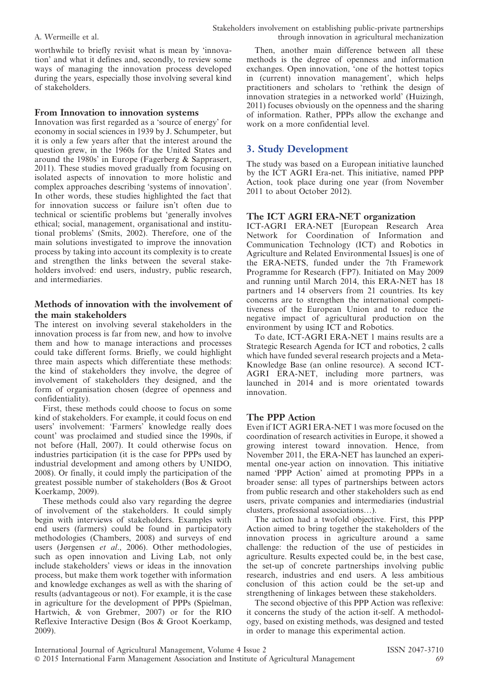worthwhile to briefly revisit what is mean by 'innovation' and what it defines and, secondly, to review some ways of managing the innovation process developed during the years, especially those involving several kind of stakeholders.

#### From Innovation to innovation systems

Innovation was first regarded as a 'source of energy' for economy in social sciences in 1939 by J. Schumpeter, but it is only a few years after that the interest around the question grew, in the 1960s for the United States and around the 1980s' in Europe (Fagerberg & Sapprasert, 2011). These studies moved gradually from focusing on isolated aspects of innovation to more holistic and complex approaches describing 'systems of innovation'. In other words, these studies highlighted the fact that for innovation success or failure isn't often due to technical or scientific problems but 'generally involves ethical; social, management, organisational and institutional problems' (Smits, 2002). Therefore, one of the main solutions investigated to improve the innovation process by taking into account its complexity is to create and strengthen the links between the several stakeholders involved: end users, industry, public research, and intermediaries.

#### Methods of innovation with the involvement of the main stakeholders

The interest on involving several stakeholders in the innovation process is far from new, and how to involve them and how to manage interactions and processes could take different forms. Briefly, we could highlight three main aspects which differentiate these methods: the kind of stakeholders they involve, the degree of involvement of stakeholders they designed, and the form of organisation chosen (degree of openness and confidentiality).

First, these methods could choose to focus on some kind of stakeholders. For example, it could focus on end users' involvement: 'Farmers' knowledge really does count' was proclaimed and studied since the 1990s, if not before (Hall, 2007). It could otherwise focus on industries participation (it is the case for PPPs used by industrial development and among others by UNIDO, 2008). Or finally, it could imply the participation of the greatest possible number of stakeholders (Bos & Groot Koerkamp, 2009).

These methods could also vary regarding the degree of involvement of the stakeholders. It could simply begin with interviews of stakeholders. Examples with end users (farmers) could be found in participatory methodologies (Chambers, 2008) and surveys of end users (Jørgensen et al., 2006). Other methodologies, such as open innovation and Living Lab, not only include stakeholders' views or ideas in the innovation process, but make them work together with information and knowledge exchanges as well as with the sharing of results (advantageous or not). For example, it is the case in agriculture for the development of PPPs (Spielman, Hartwich, & von Grebmer, 2007) or for the RIO Reflexive Interactive Design (Bos & Groot Koerkamp, 2009).

Then, another main difference between all these methods is the degree of openness and information exchanges. Open innovation, 'one of the hottest topics in (current) innovation management', which helps practitioners and scholars to 'rethink the design of innovation strategies in a networked world' (Huizingh, 2011) focuses obviously on the openness and the sharing of information. Rather, PPPs allow the exchange and work on a more confidential level.

#### 3. Study Development

The study was based on a European initiative launched by the ICT AGRI Era-net. This initiative, named PPP Action, took place during one year (from November 2011 to about October 2012).

#### The ICT AGRI ERA-NET organization

ICT-AGRI ERA-NET [European Research Area Network for Coordination of Information and Communication Technology (ICT) and Robotics in Agriculture and Related Environmental Issues] is one of the ERA-NETS, funded under the 7th Framework Programme for Research (FP7). Initiated on May 2009 and running until March 2014, this ERA-NET has 18 partners and 14 observers from 21 countries. Its key concerns are to strengthen the international competitiveness of the European Union and to reduce the negative impact of agricultural production on the environment by using ICT and Robotics.

To date, ICT-AGRI ERA-NET 1 mains results are a Strategic Research Agenda for ICT and robotics, 2 calls which have funded several research projects and a Meta-Knowledge Base (an online resource). A second ICT-AGRI ERA-NET, including more partners, was launched in 2014 and is more orientated towards innovation.

#### The PPP Action

Even if ICT AGRI ERA-NET 1 was more focused on the coordination of research activities in Europe, it showed a growing interest toward innovation. Hence, from November 2011, the ERA-NET has launched an experimental one-year action on innovation. This initiative named 'PPP Action' aimed at promoting PPPs in a broader sense: all types of partnerships between actors from public research and other stakeholders such as end users, private companies and intermediaries (industrial clusters, professional associations…).

The action had a twofold objective. First, this PPP Action aimed to bring together the stakeholders of the innovation process in agriculture around a same challenge: the reduction of the use of pesticides in agriculture. Results expected could be, in the best case, the set-up of concrete partnerships involving public research, industries and end users. A less ambitious conclusion of this action could be the set-up and strengthening of linkages between these stakeholders.

The second objective of this PPP Action was reflexive: it concerns the study of the action it-self. A methodology, based on existing methods, was designed and tested in order to manage this experimental action.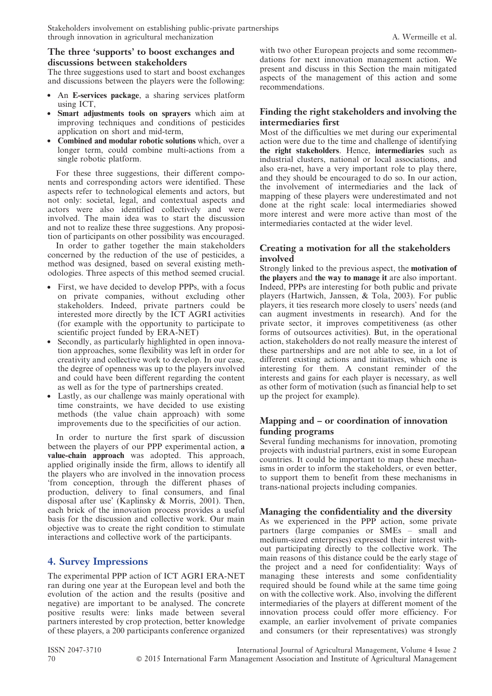#### The three 'supports' to boost exchanges and discussions between stakeholders

The three suggestions used to start and boost exchanges and discussions between the players were the following:

- An E-services package, a sharing services platform using ICT,
- Smart adjustments tools on sprayers which aim at improving techniques and conditions of pesticides application on short and mid-term,
- Combined and modular robotic solutions which, over a longer term, could combine multi-actions from a single robotic platform.

For these three suggestions, their different components and corresponding actors were identified. These aspects refer to technological elements and actors, but not only: societal, legal, and contextual aspects and actors were also identified collectively and were involved. The main idea was to start the discussion and not to realize these three suggestions. Any proposition of participants on other possibility was encouraged.

In order to gather together the main stakeholders concerned by the reduction of the use of pesticides, a method was designed, based on several existing methodologies. Three aspects of this method seemed crucial.

- First, we have decided to develop PPPs, with a focus on private companies, without excluding other stakeholders. Indeed, private partners could be interested more directly by the ICT AGRI activities (for example with the opportunity to participate to scientific project funded by ERA-NET)
- Secondly, as particularly highlighted in open innovation approaches, some flexibility was left in order for creativity and collective work to develop. In our case, the degree of openness was up to the players involved and could have been different regarding the content as well as for the type of partnerships created.
- Lastly, as our challenge was mainly operational with time constraints, we have decided to use existing methods (the value chain approach) with some improvements due to the specificities of our action.

In order to nurture the first spark of discussion between the players of our PPP experimental action, a value-chain approach was adopted. This approach, applied originally inside the firm, allows to identify all the players who are involved in the innovation process 'from conception, through the different phases of production, delivery to final consumers, and final disposal after use' (Kaplinsky & Morris, 2001). Then, each brick of the innovation process provides a useful basis for the discussion and collective work. Our main objective was to create the right condition to stimulate interactions and collective work of the participants.

## 4. Survey Impressions

The experimental PPP action of ICT AGRI ERA-NET ran during one year at the European level and both the evolution of the action and the results (positive and negative) are important to be analysed. The concrete positive results were: links made between several partners interested by crop protection, better knowledge of these players, a 200 participants conference organized with two other European projects and some recommendations for next innovation management action. We present and discuss in this Section the main mitigated aspects of the management of this action and some recommendations.

#### Finding the right stakeholders and involving the intermediaries first

Most of the difficulties we met during our experimental action were due to the time and challenge of identifying the right stakeholders. Hence, intermediaries such as industrial clusters, national or local associations, and also era-net, have a very important role to play there, and they should be encouraged to do so. In our action, the involvement of intermediaries and the lack of mapping of these players were underestimated and not done at the right scale: local intermediaries showed more interest and were more active than most of the intermediaries contacted at the wider level.

#### Creating a motivation for all the stakeholders involved

Strongly linked to the previous aspect, the motivation of the players and the way to manage it are also important. Indeed, PPPs are interesting for both public and private players (Hartwich, Janssen, & Tola, 2003). For public players, it ties research more closely to users' needs (and can augment investments in research). And for the private sector, it improves competitiveness (as other forms of outsources activities). But, in the operational action, stakeholders do not really measure the interest of these partnerships and are not able to see, in a lot of different existing actions and initiatives, which one is interesting for them. A constant reminder of the interests and gains for each player is necessary, as well as other form of motivation (such as financial help to set up the project for example).

#### Mapping and – or coordination of innovation funding programs

Several funding mechanisms for innovation, promoting projects with industrial partners, exist in some European countries. It could be important to map these mechanisms in order to inform the stakeholders, or even better, to support them to benefit from these mechanisms in trans-national projects including companies.

#### Managing the confidentiality and the diversity

As we experienced in the PPP action, some private partners (large companies or SMEs – small and medium-sized enterprises) expressed their interest without participating directly to the collective work. The main reasons of this distance could be the early stage of the project and a need for confidentiality: Ways of managing these interests and some confidentiality required should be found while at the same time going on with the collective work. Also, involving the different intermediaries of the players at different moment of the innovation process could offer more efficiency. For example, an earlier involvement of private companies and consumers (or their representatives) was strongly